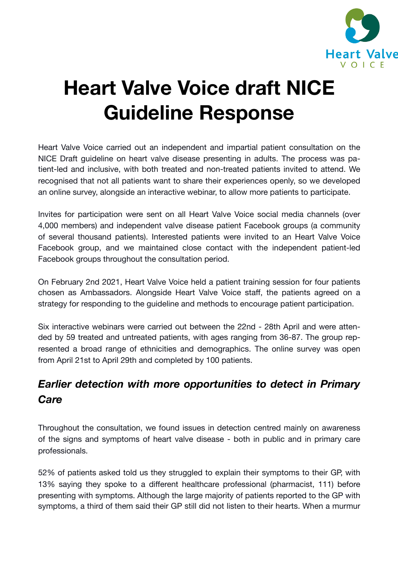

# **Heart Valve Voice draft NICE Guideline Response**

Heart Valve Voice carried out an independent and impartial patient consultation on the NICE Draft guideline on heart valve disease presenting in adults. The process was patient-led and inclusive, with both treated and non-treated patients invited to attend. We recognised that not all patients want to share their experiences openly, so we developed an online survey, alongside an interactive webinar, to allow more patients to participate.

Invites for participation were sent on all Heart Valve Voice social media channels (over 4,000 members) and independent valve disease patient Facebook groups (a community of several thousand patients). Interested patients were invited to an Heart Valve Voice Facebook group, and we maintained close contact with the independent patient-led Facebook groups throughout the consultation period.

On February 2nd 2021, Heart Valve Voice held a patient training session for four patients chosen as Ambassadors. Alongside Heart Valve Voice staff, the patients agreed on a strategy for responding to the guideline and methods to encourage patient participation.

Six interactive webinars were carried out between the 22nd - 28th April and were attended by 59 treated and untreated patients, with ages ranging from 36-87. The group represented a broad range of ethnicities and demographics. The online survey was open from April 21st to April 29th and completed by 100 patients.

## *Earlier detection with more opportunities to detect in Primary Care*

Throughout the consultation, we found issues in detection centred mainly on awareness of the signs and symptoms of heart valve disease - both in public and in primary care professionals.

52% of patients asked told us they struggled to explain their symptoms to their GP, with 13% saying they spoke to a different healthcare professional (pharmacist, 111) before presenting with symptoms. Although the large majority of patients reported to the GP with symptoms, a third of them said their GP still did not listen to their hearts. When a murmur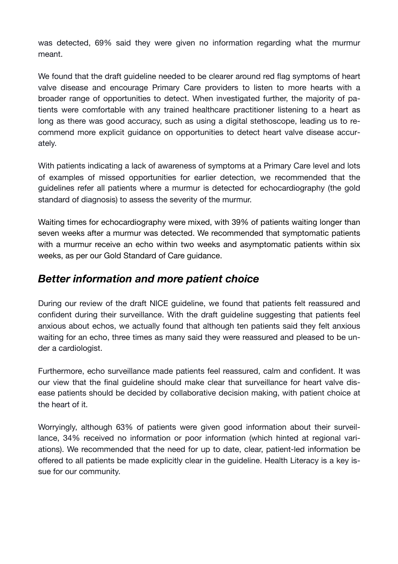was detected, 69% said they were given no information regarding what the murmur meant.

We found that the draft guideline needed to be clearer around red flag symptoms of heart valve disease and encourage Primary Care providers to listen to more hearts with a broader range of opportunities to detect. When investigated further, the majority of patients were comfortable with any trained healthcare practitioner listening to a heart as long as there was good accuracy, such as using a digital stethoscope, leading us to recommend more explicit guidance on opportunities to detect heart valve disease accurately.

With patients indicating a lack of awareness of symptoms at a Primary Care level and lots of examples of missed opportunities for earlier detection, we recommended that the guidelines refer all patients where a murmur is detected for echocardiography (the gold standard of diagnosis) to assess the severity of the murmur.

Waiting times for echocardiography were mixed, with 39% of patients waiting longer than seven weeks after a murmur was detected. We recommended that symptomatic patients with a murmur receive an echo within two weeks and asymptomatic patients within six weeks, as per our Gold Standard of Care guidance.

#### *Better information and more patient choice*

During our review of the draft NICE guideline, we found that patients felt reassured and confident during their surveillance. With the draft guideline suggesting that patients feel anxious about echos, we actually found that although ten patients said they felt anxious waiting for an echo, three times as many said they were reassured and pleased to be under a cardiologist.

Furthermore, echo surveillance made patients feel reassured, calm and confident. It was our view that the final guideline should make clear that surveillance for heart valve disease patients should be decided by collaborative decision making, with patient choice at the heart of it.

Worryingly, although 63% of patients were given good information about their surveillance, 34% received no information or poor information (which hinted at regional variations). We recommended that the need for up to date, clear, patient-led information be offered to all patients be made explicitly clear in the guideline. Health Literacy is a key issue for our community.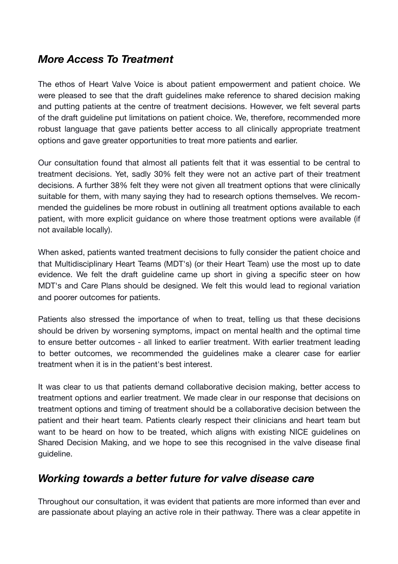### *More Access To Treatment*

The ethos of Heart Valve Voice is about patient empowerment and patient choice. We were pleased to see that the draft guidelines make reference to shared decision making and putting patients at the centre of treatment decisions. However, we felt several parts of the draft guideline put limitations on patient choice. We, therefore, recommended more robust language that gave patients better access to all clinically appropriate treatment options and gave greater opportunities to treat more patients and earlier.

Our consultation found that almost all patients felt that it was essential to be central to treatment decisions. Yet, sadly 30% felt they were not an active part of their treatment decisions. A further 38% felt they were not given all treatment options that were clinically suitable for them, with many saying they had to research options themselves. We recommended the guidelines be more robust in outlining all treatment options available to each patient, with more explicit guidance on where those treatment options were available (if not available locally).

When asked, patients wanted treatment decisions to fully consider the patient choice and that Multidisciplinary Heart Teams (MDT's) (or their Heart Team) use the most up to date evidence. We felt the draft guideline came up short in giving a specific steer on how MDT's and Care Plans should be designed. We felt this would lead to regional variation and poorer outcomes for patients.

Patients also stressed the importance of when to treat, telling us that these decisions should be driven by worsening symptoms, impact on mental health and the optimal time to ensure better outcomes - all linked to earlier treatment. With earlier treatment leading to better outcomes, we recommended the guidelines make a clearer case for earlier treatment when it is in the patient's best interest.

It was clear to us that patients demand collaborative decision making, better access to treatment options and earlier treatment. We made clear in our response that decisions on treatment options and timing of treatment should be a collaborative decision between the patient and their heart team. Patients clearly respect their clinicians and heart team but want to be heard on how to be treated, which aligns with existing NICE guidelines on Shared Decision Making, and we hope to see this recognised in the valve disease final guideline.

### *Working towards a better future for valve disease care*

Throughout our consultation, it was evident that patients are more informed than ever and are passionate about playing an active role in their pathway. There was a clear appetite in